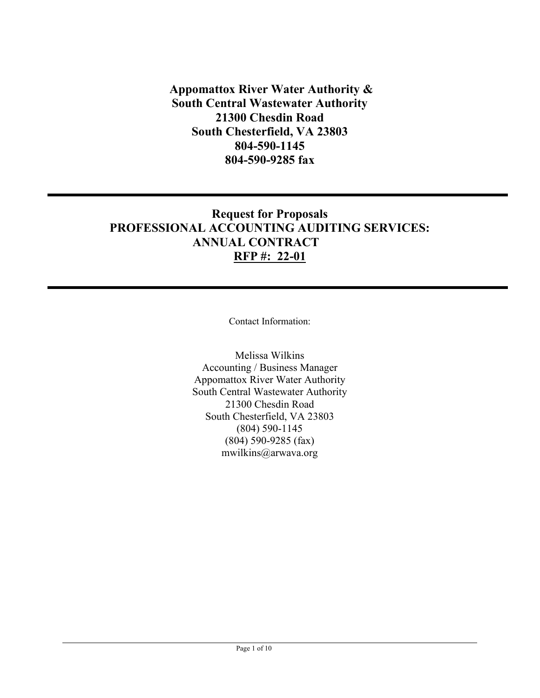**Appomattox River Water Authority & South Central Wastewater Authority 21300 Chesdin Road South Chesterfield, VA 23803 804-590-1145 804-590-9285 fax**

# **Request for Proposals PROFESSIONAL ACCOUNTING AUDITING SERVICES: ANNUAL CONTRACT RFP #: 22-01**

Contact Information:

Melissa Wilkins Accounting / Business Manager Appomattox River Water Authority South Central Wastewater Authority 21300 Chesdin Road South Chesterfield, VA 23803 (804) 590-1145 (804) 590-9285 (fax) mwilkins@arwava.org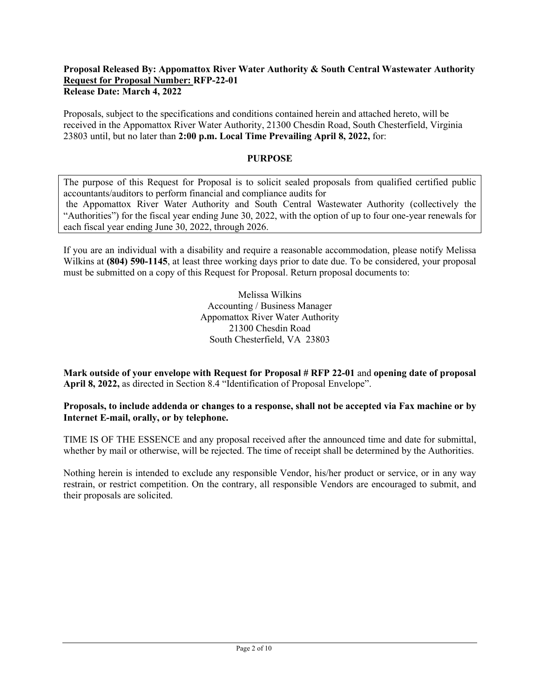#### **Proposal Released By: Appomattox River Water Authority & South Central Wastewater Authority Request for Proposal Number: RFP-22-01 Release Date: March 4, 2022**

Proposals, subject to the specifications and conditions contained herein and attached hereto, will be received in the Appomattox River Water Authority, 21300 Chesdin Road, South Chesterfield, Virginia 23803 until, but no later than **2:00 p.m. Local Time Prevailing April 8, 2022,** for:

#### **PURPOSE**

The purpose of this Request for Proposal is to solicit sealed proposals from qualified certified public accountants/auditors to perform financial and compliance audits for the Appomattox River Water Authority and South Central Wastewater Authority (collectively the "Authorities") for the fiscal year ending June 30, 2022, with the option of up to four one-year renewals for each fiscal year ending June 30, 2022, through 2026.

If you are an individual with a disability and require a reasonable accommodation, please notify Melissa Wilkins at **(804) 590-1145**, at least three working days prior to date due. To be considered, your proposal must be submitted on a copy of this Request for Proposal. Return proposal documents to:

> Melissa Wilkins Accounting / Business Manager Appomattox River Water Authority 21300 Chesdin Road South Chesterfield, VA 23803

**Mark outside of your envelope with Request for Proposal # RFP 22-01** and **opening date of proposal April 8, 2022,** as directed in Section 8.4 "Identification of Proposal Envelope".

**Proposals, to include addenda or changes to a response, shall not be accepted via Fax machine or by Internet E-mail, orally, or by telephone.**

TIME IS OF THE ESSENCE and any proposal received after the announced time and date for submittal, whether by mail or otherwise, will be rejected. The time of receipt shall be determined by the Authorities.

Nothing herein is intended to exclude any responsible Vendor, his/her product or service, or in any way restrain, or restrict competition. On the contrary, all responsible Vendors are encouraged to submit, and their proposals are solicited.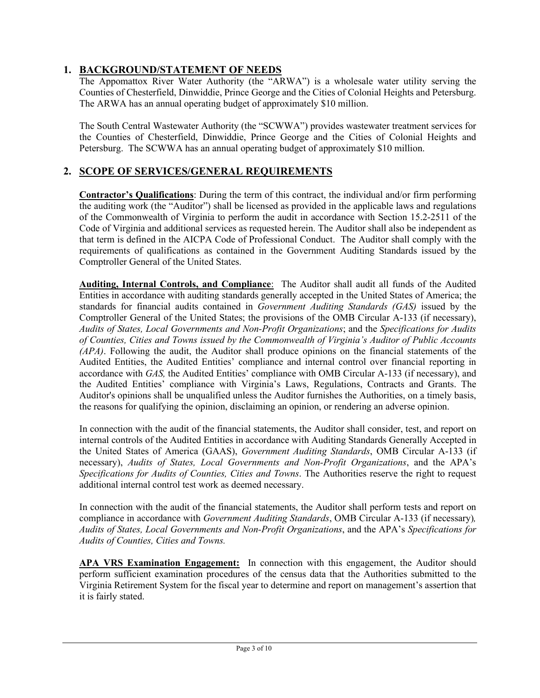## **1. BACKGROUND/STATEMENT OF NEEDS**

The Appomattox River Water Authority (the "ARWA") is a wholesale water utility serving the Counties of Chesterfield, Dinwiddie, Prince George and the Cities of Colonial Heights and Petersburg. The ARWA has an annual operating budget of approximately \$10 million.

The South Central Wastewater Authority (the "SCWWA") provides wastewater treatment services for the Counties of Chesterfield, Dinwiddie, Prince George and the Cities of Colonial Heights and Petersburg. The SCWWA has an annual operating budget of approximately \$10 million.

### **2. SCOPE OF SERVICES/GENERAL REQUIREMENTS**

**Contractor's Qualifications**: During the term of this contract, the individual and/or firm performing the auditing work (the "Auditor") shall be licensed as provided in the applicable laws and regulations of the Commonwealth of Virginia to perform the audit in accordance with Section 15.2-2511 of the Code of Virginia and additional services as requested herein. The Auditor shall also be independent as that term is defined in the AICPA Code of Professional Conduct. The Auditor shall comply with the requirements of qualifications as contained in the Government Auditing Standards issued by the Comptroller General of the United States.

**Auditing, Internal Controls, and Compliance**: The Auditor shall audit all funds of the Audited Entities in accordance with auditing standards generally accepted in the United States of America; the standards for financial audits contained in *Government Auditing Standards (GAS)* issued by the Comptroller General of the United States; the provisions of the OMB Circular A-133 (if necessary), *Audits of States, Local Governments and Non-Profit Organizations*; and the *Specifications for Audits of Counties, Cities and Towns issued by the Commonwealth of Virginia's Auditor of Public Accounts (APA)*. Following the audit, the Auditor shall produce opinions on the financial statements of the Audited Entities, the Audited Entities' compliance and internal control over financial reporting in accordance with *GAS,* the Audited Entities' compliance with OMB Circular A-133 (if necessary), and the Audited Entities' compliance with Virginia's Laws, Regulations, Contracts and Grants. The Auditor's opinions shall be unqualified unless the Auditor furnishes the Authorities, on a timely basis, the reasons for qualifying the opinion, disclaiming an opinion, or rendering an adverse opinion.

In connection with the audit of the financial statements, the Auditor shall consider, test, and report on internal controls of the Audited Entities in accordance with Auditing Standards Generally Accepted in the United States of America (GAAS), *Government Auditing Standards*, OMB Circular A-133 (if necessary), *Audits of States, Local Governments and Non-Profit Organizations*, and the APA's *Specifications for Audits of Counties, Cities and Towns*. The Authorities reserve the right to request additional internal control test work as deemed necessary.

In connection with the audit of the financial statements, the Auditor shall perform tests and report on compliance in accordance with *Government Auditing Standards*, OMB Circular A-133 (if necessary)*, Audits of States, Local Governments and Non-Profit Organizations*, and the APA's *Specifications for Audits of Counties, Cities and Towns.* 

**APA VRS Examination Engagement:** In connection with this engagement, the Auditor should perform sufficient examination procedures of the census data that the Authorities submitted to the Virginia Retirement System for the fiscal year to determine and report on management's assertion that it is fairly stated.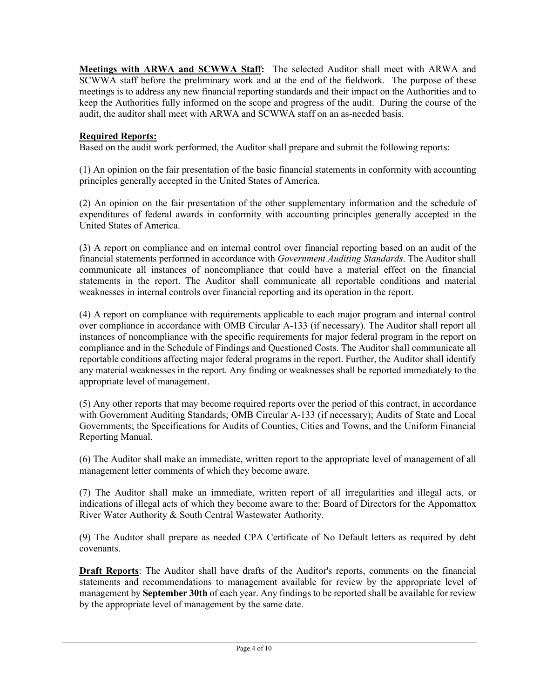**Meetings with ARWA and SCWWA Staff:** The selected Auditor shall meet with ARWA and SCWWA staff before the preliminary work and at the end of the fieldwork. The purpose of these meetings is to address any new financial reporting standards and their impact on the Authorities and to keep the Authorities fully informed on the scope and progress of the audit. During the course of the audit, the auditor shall meet with ARWA and SCWWA staff on an as-needed basis.

### **Required Reports:**

Based on the audit work performed, the Auditor shall prepare and submit the following reports:

(1) An opinion on the fair presentation of the basic financial statements in conformity with accounting principles generally accepted in the United States of America.

(2) An opinion on the fair presentation of the other supplementary information and the schedule of expenditures of federal awards in conformity with accounting principles generally accepted in the United States of America.

(3) A report on compliance and on internal control over financial reporting based on an audit of the financial statements performed in accordance with *Government Auditing Standards*. The Auditor shall communicate all instances of noncompliance that could have a material effect on the financial statements in the report. The Auditor shall communicate all reportable conditions and material weaknesses in internal controls over financial reporting and its operation in the report.

(4) A report on compliance with requirements applicable to each major program and internal control over compliance in accordance with OMB Circular A-133 (if necessary). The Auditor shall report all instances of noncompliance with the specific requirements for major federal program in the report on compliance and in the Schedule of Findings and Questioned Costs. The Auditor shall communicate all reportable conditions affecting major federal programs in the report. Further, the Auditor shall identify any material weaknesses in the report. Any finding or weaknesses shall be reported immediately to the appropriate level of management.

(5) Any other reports that may become required reports over the period of this contract, in accordance with Government Auditing Standards; OMB Circular A-133 (if necessary); Audits of State and Local Governments; the Specifications for Audits of Counties, Cities and Towns, and the Uniform Financial Reporting Manual.

(6) The Auditor shall make an immediate, written report to the appropriate level of management of all management letter comments of which they become aware.

(7) The Auditor shall make an immediate, written report of all irregularities and illegal acts, or indications of illegal acts of which they become aware to the: Board of Directors for the Appomattox River Water Authority & South Central Wastewater Authority.

(9) The Auditor shall prepare as needed CPA Certificate of No Default letters as required by debt covenants.

**Draft Reports**: The Auditor shall have drafts of the Auditor's reports, comments on the financial statements and recommendations to management available for review by the appropriate level of management by **September 30th** of each year. Any findings to be reported shall be available for review by the appropriate level of management by the same date.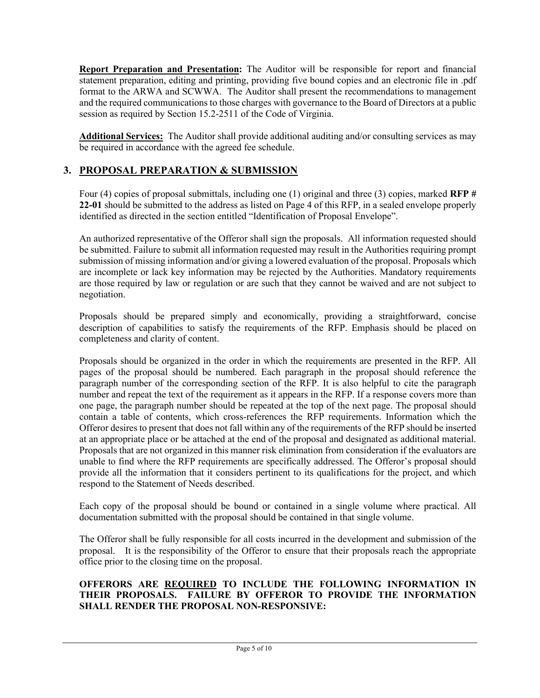**Report Preparation and Presentation:** The Auditor will be responsible for report and financial statement preparation, editing and printing, providing five bound copies and an electronic file in .pdf format to the ARWA and SCWWA. The Auditor shall present the recommendations to management and the required communications to those charges with governance to the Board of Directors at a public session as required by Section 15.2-2511 of the Code of Virginia.

**Additional Services:** The Auditor shall provide additional auditing and/or consulting services as may be required in accordance with the agreed fee schedule.

# **3. PROPOSAL PREPARATION & SUBMISSION**

Four (4) copies of proposal submittals, including one (1) original and three (3) copies, marked **RFP # 22-01** should be submitted to the address as listed on Page 4 of this RFP, in a sealed envelope properly identified as directed in the section entitled "Identification of Proposal Envelope".

An authorized representative of the Offeror shall sign the proposals. All information requested should be submitted. Failure to submit all information requested may result in the Authorities requiring prompt submission of missing information and/or giving a lowered evaluation of the proposal. Proposals which are incomplete or lack key information may be rejected by the Authorities. Mandatory requirements are those required by law or regulation or are such that they cannot be waived and are not subject to negotiation.

Proposals should be prepared simply and economically, providing a straightforward, concise description of capabilities to satisfy the requirements of the RFP. Emphasis should be placed on completeness and clarity of content.

Proposals should be organized in the order in which the requirements are presented in the RFP. All pages of the proposal should be numbered. Each paragraph in the proposal should reference the paragraph number of the corresponding section of the RFP. It is also helpful to cite the paragraph number and repeat the text of the requirement as it appears in the RFP. If a response covers more than one page, the paragraph number should be repeated at the top of the next page. The proposal should contain a table of contents, which cross-references the RFP requirements. Information which the Offeror desires to present that does not fall within any of the requirements of the RFP should be inserted at an appropriate place or be attached at the end of the proposal and designated as additional material. Proposals that are not organized in this manner risk elimination from consideration if the evaluators are unable to find where the RFP requirements are specifically addressed. The Offeror's proposal should provide all the information that it considers pertinent to its qualifications for the project, and which respond to the Statement of Needs described.

Each copy of the proposal should be bound or contained in a single volume where practical. All documentation submitted with the proposal should be contained in that single volume.

The Offeror shall be fully responsible for all costs incurred in the development and submission of the proposal. It is the responsibility of the Offeror to ensure that their proposals reach the appropriate office prior to the closing time on the proposal.

#### **OFFERORS ARE REQUIRED TO INCLUDE THE FOLLOWING INFORMATION IN THEIR PROPOSALS. FAILURE BY OFFEROR TO PROVIDE THE INFORMATION SHALL RENDER THE PROPOSAL NON-RESPONSIVE:**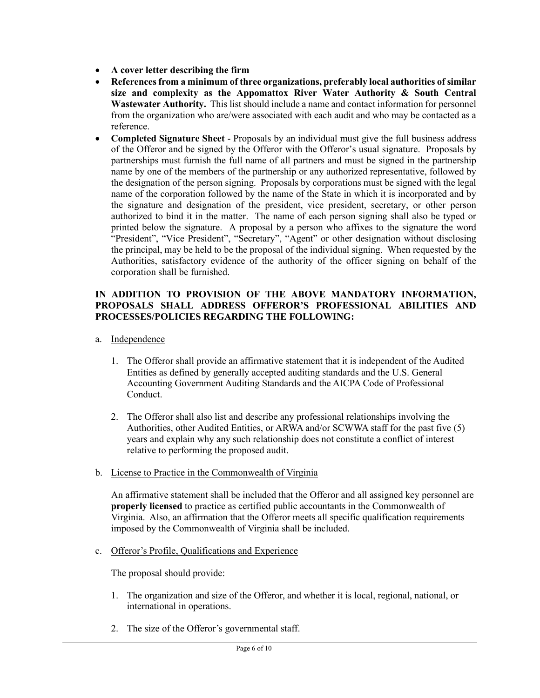- **A cover letter describing the firm**
- **References from a minimum of three organizations, preferably local authorities of similar size and complexity as the Appomattox River Water Authority & South Central Wastewater Authority.** This list should include a name and contact information for personnel from the organization who are/were associated with each audit and who may be contacted as a reference.
- **Completed Signature Sheet** Proposals by an individual must give the full business address of the Offeror and be signed by the Offeror with the Offeror's usual signature. Proposals by partnerships must furnish the full name of all partners and must be signed in the partnership name by one of the members of the partnership or any authorized representative, followed by the designation of the person signing. Proposals by corporations must be signed with the legal name of the corporation followed by the name of the State in which it is incorporated and by the signature and designation of the president, vice president, secretary, or other person authorized to bind it in the matter. The name of each person signing shall also be typed or printed below the signature. A proposal by a person who affixes to the signature the word "President", "Vice President", "Secretary", "Agent" or other designation without disclosing the principal, may be held to be the proposal of the individual signing. When requested by the Authorities, satisfactory evidence of the authority of the officer signing on behalf of the corporation shall be furnished.

#### **IN ADDITION TO PROVISION OF THE ABOVE MANDATORY INFORMATION, PROPOSALS SHALL ADDRESS OFFEROR'S PROFESSIONAL ABILITIES AND PROCESSES/POLICIES REGARDING THE FOLLOWING:**

- a. Independence
	- 1. The Offeror shall provide an affirmative statement that it is independent of the Audited Entities as defined by generally accepted auditing standards and the U.S. General Accounting Government Auditing Standards and the AICPA Code of Professional Conduct.
	- 2. The Offeror shall also list and describe any professional relationships involving the Authorities, other Audited Entities, or ARWA and/or SCWWA staff for the past five (5) years and explain why any such relationship does not constitute a conflict of interest relative to performing the proposed audit.
- b. License to Practice in the Commonwealth of Virginia

An affirmative statement shall be included that the Offeror and all assigned key personnel are **properly licensed** to practice as certified public accountants in the Commonwealth of Virginia. Also, an affirmation that the Offeror meets all specific qualification requirements imposed by the Commonwealth of Virginia shall be included.

c. Offeror's Profile, Qualifications and Experience

The proposal should provide:

- 1. The organization and size of the Offeror, and whether it is local, regional, national, or international in operations.
- 2. The size of the Offeror's governmental staff.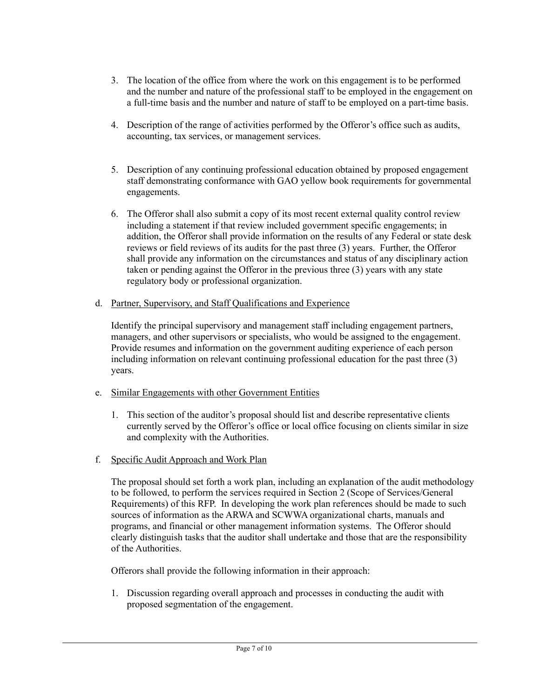- 3. The location of the office from where the work on this engagement is to be performed and the number and nature of the professional staff to be employed in the engagement on a full-time basis and the number and nature of staff to be employed on a part-time basis.
- 4. Description of the range of activities performed by the Offeror's office such as audits, accounting, tax services, or management services.
- 5. Description of any continuing professional education obtained by proposed engagement staff demonstrating conformance with GAO yellow book requirements for governmental engagements.
- 6. The Offeror shall also submit a copy of its most recent external quality control review including a statement if that review included government specific engagements; in addition, the Offeror shall provide information on the results of any Federal or state desk reviews or field reviews of its audits for the past three (3) years. Further, the Offeror shall provide any information on the circumstances and status of any disciplinary action taken or pending against the Offeror in the previous three (3) years with any state regulatory body or professional organization.
- d. Partner, Supervisory, and Staff Qualifications and Experience

Identify the principal supervisory and management staff including engagement partners, managers, and other supervisors or specialists, who would be assigned to the engagement. Provide resumes and information on the government auditing experience of each person including information on relevant continuing professional education for the past three (3) years.

- e. Similar Engagements with other Government Entities
	- 1. This section of the auditor's proposal should list and describe representative clients currently served by the Offeror's office or local office focusing on clients similar in size and complexity with the Authorities.
- f. Specific Audit Approach and Work Plan

The proposal should set forth a work plan, including an explanation of the audit methodology to be followed, to perform the services required in Section 2 (Scope of Services/General Requirements) of this RFP. In developing the work plan references should be made to such sources of information as the ARWA and SCWWA organizational charts, manuals and programs, and financial or other management information systems. The Offeror should clearly distinguish tasks that the auditor shall undertake and those that are the responsibility of the Authorities.

Offerors shall provide the following information in their approach:

1. Discussion regarding overall approach and processes in conducting the audit with proposed segmentation of the engagement.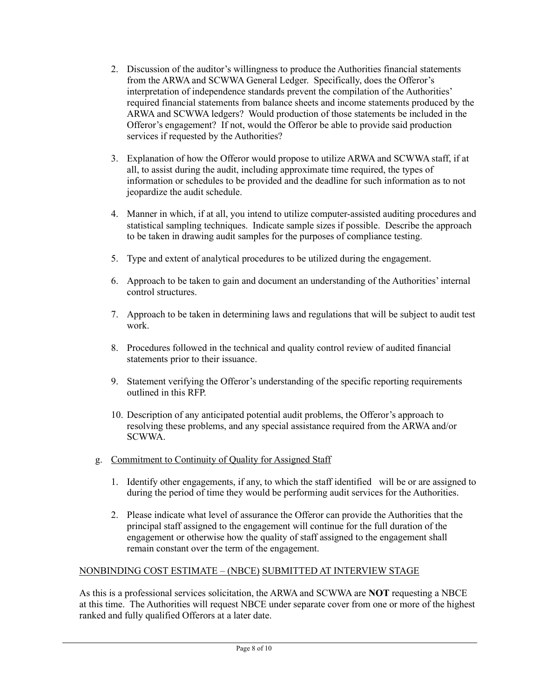- 2. Discussion of the auditor's willingness to produce the Authorities financial statements from the ARWA and SCWWA General Ledger. Specifically, does the Offeror's interpretation of independence standards prevent the compilation of the Authorities' required financial statements from balance sheets and income statements produced by the ARWA and SCWWA ledgers? Would production of those statements be included in the Offeror's engagement? If not, would the Offeror be able to provide said production services if requested by the Authorities?
- 3. Explanation of how the Offeror would propose to utilize ARWA and SCWWA staff, if at all, to assist during the audit, including approximate time required, the types of information or schedules to be provided and the deadline for such information as to not jeopardize the audit schedule.
- 4. Manner in which, if at all, you intend to utilize computer-assisted auditing procedures and statistical sampling techniques. Indicate sample sizes if possible. Describe the approach to be taken in drawing audit samples for the purposes of compliance testing.
- 5. Type and extent of analytical procedures to be utilized during the engagement.
- 6. Approach to be taken to gain and document an understanding of the Authorities' internal control structures.
- 7. Approach to be taken in determining laws and regulations that will be subject to audit test work.
- 8. Procedures followed in the technical and quality control review of audited financial statements prior to their issuance.
- 9. Statement verifying the Offeror's understanding of the specific reporting requirements outlined in this RFP.
- 10. Description of any anticipated potential audit problems, the Offeror's approach to resolving these problems, and any special assistance required from the ARWA and/or SCWWA.
- g. Commitment to Continuity of Quality for Assigned Staff
	- 1. Identify other engagements, if any, to which the staff identified will be or are assigned to during the period of time they would be performing audit services for the Authorities.
	- 2. Please indicate what level of assurance the Offeror can provide the Authorities that the principal staff assigned to the engagement will continue for the full duration of the engagement or otherwise how the quality of staff assigned to the engagement shall remain constant over the term of the engagement.

### NONBINDING COST ESTIMATE – (NBCE) SUBMITTED AT INTERVIEW STAGE

As this is a professional services solicitation, the ARWA and SCWWA are **NOT** requesting a NBCE at this time. The Authorities will request NBCE under separate cover from one or more of the highest ranked and fully qualified Offerors at a later date.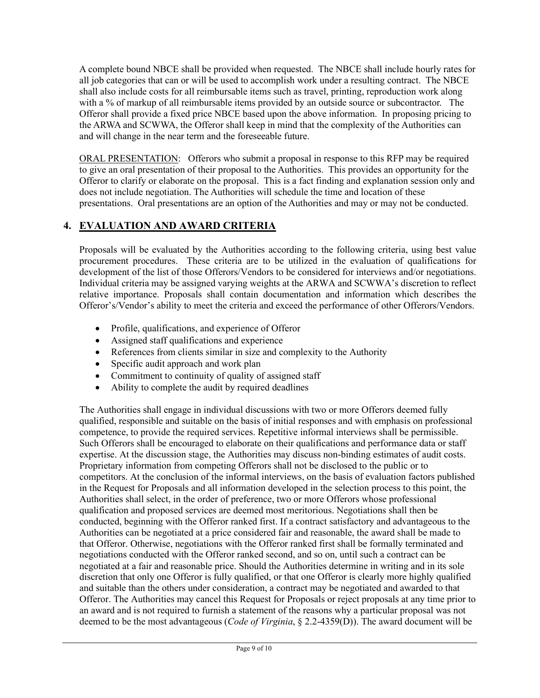A complete bound NBCE shall be provided when requested. The NBCE shall include hourly rates for all job categories that can or will be used to accomplish work under a resulting contract. The NBCE shall also include costs for all reimbursable items such as travel, printing, reproduction work along with a % of markup of all reimbursable items provided by an outside source or subcontractor. The Offeror shall provide a fixed price NBCE based upon the above information. In proposing pricing to the ARWA and SCWWA, the Offeror shall keep in mind that the complexity of the Authorities can and will change in the near term and the foreseeable future.

ORAL PRESENTATION: Offerors who submit a proposal in response to this RFP may be required to give an oral presentation of their proposal to the Authorities. This provides an opportunity for the Offeror to clarify or elaborate on the proposal. This is a fact finding and explanation session only and does not include negotiation. The Authorities will schedule the time and location of these presentations. Oral presentations are an option of the Authorities and may or may not be conducted.

# **4. EVALUATION AND AWARD CRITERIA**

Proposals will be evaluated by the Authorities according to the following criteria, using best value procurement procedures. These criteria are to be utilized in the evaluation of qualifications for development of the list of those Offerors/Vendors to be considered for interviews and/or negotiations. Individual criteria may be assigned varying weights at the ARWA and SCWWA's discretion to reflect relative importance. Proposals shall contain documentation and information which describes the Offeror's/Vendor's ability to meet the criteria and exceed the performance of other Offerors/Vendors.

- Profile, qualifications, and experience of Offeror
- Assigned staff qualifications and experience
- References from clients similar in size and complexity to the Authority
- Specific audit approach and work plan
- Commitment to continuity of quality of assigned staff
- Ability to complete the audit by required deadlines

The Authorities shall engage in individual discussions with two or more Offerors deemed fully qualified, responsible and suitable on the basis of initial responses and with emphasis on professional competence, to provide the required services. Repetitive informal interviews shall be permissible. Such Offerors shall be encouraged to elaborate on their qualifications and performance data or staff expertise. At the discussion stage, the Authorities may discuss non-binding estimates of audit costs. Proprietary information from competing Offerors shall not be disclosed to the public or to competitors. At the conclusion of the informal interviews, on the basis of evaluation factors published in the Request for Proposals and all information developed in the selection process to this point, the Authorities shall select, in the order of preference, two or more Offerors whose professional qualification and proposed services are deemed most meritorious. Negotiations shall then be conducted, beginning with the Offeror ranked first. If a contract satisfactory and advantageous to the Authorities can be negotiated at a price considered fair and reasonable, the award shall be made to that Offeror. Otherwise, negotiations with the Offeror ranked first shall be formally terminated and negotiations conducted with the Offeror ranked second, and so on, until such a contract can be negotiated at a fair and reasonable price. Should the Authorities determine in writing and in its sole discretion that only one Offeror is fully qualified, or that one Offeror is clearly more highly qualified and suitable than the others under consideration, a contract may be negotiated and awarded to that Offeror. The Authorities may cancel this Request for Proposals or reject proposals at any time prior to an award and is not required to furnish a statement of the reasons why a particular proposal was not deemed to be the most advantageous (*Code of Virginia*, § 2.2-4359(D)). The award document will be